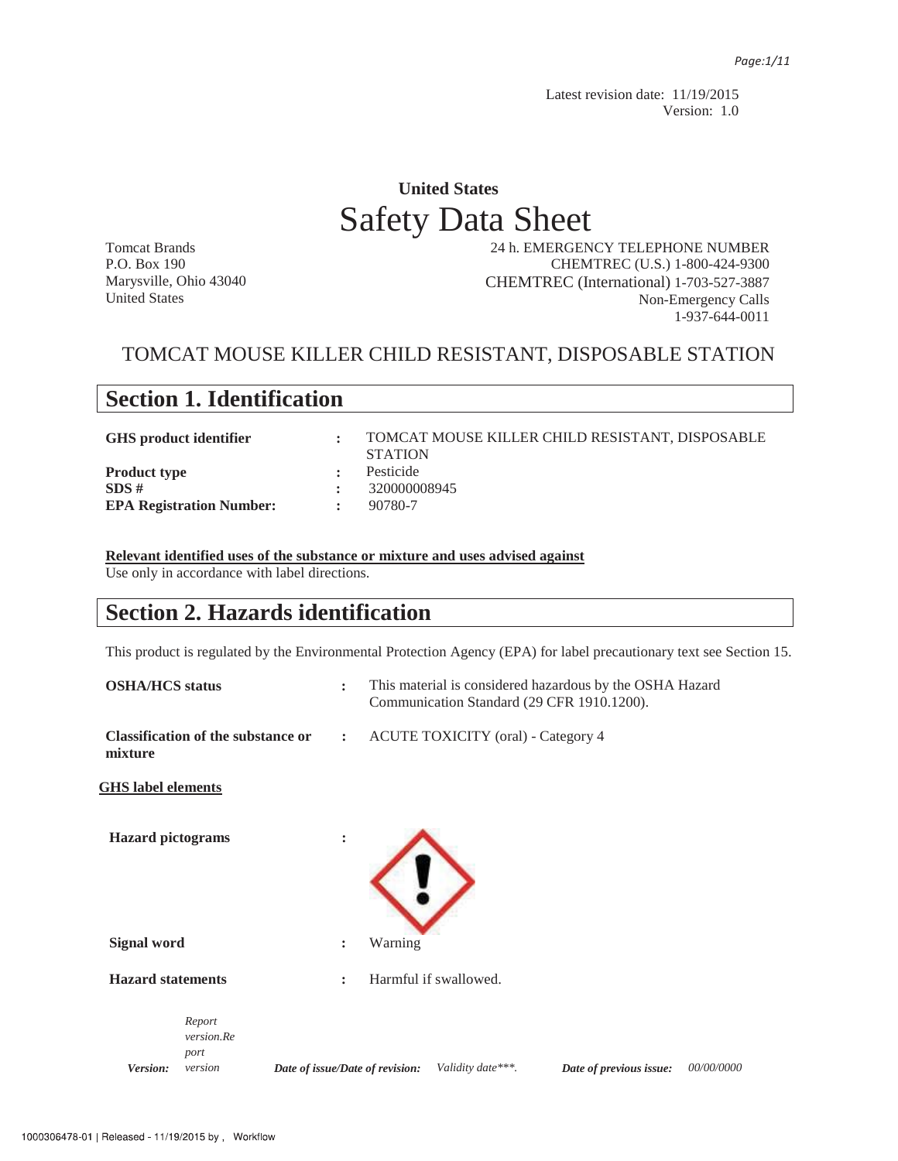Latest revision date: 11/19/2015 Version: 1.0

# **United States**  Safety Data Sheet

Tomcat Brands P.O. Box 190 Marysville, Ohio 43040 United States

 24 h. EMERGENCY TELEPHONE NUMBER CHEMTREC (U.S.) 1-800-424-9300 CHEMTREC (International) 1-703-527-3887 Non-Emergency Calls 1-937-644-0011

### TOMCAT MOUSE KILLER CHILD RESISTANT, DISPOSABLE STATION

| <b>Section 1. Identification</b> |                      |                                                                   |  |  |  |
|----------------------------------|----------------------|-------------------------------------------------------------------|--|--|--|
| <b>GHS</b> product identifier    |                      | TOMCAT MOUSE KILLER CHILD RESISTANT, DISPOSABLE<br><b>STATION</b> |  |  |  |
| <b>Product type</b>              | ÷                    | Pesticide                                                         |  |  |  |
| SDS#                             | ÷                    | 320000008945                                                      |  |  |  |
| <b>EPA Registration Number:</b>  | $\ddot{\phantom{a}}$ | 90780-7                                                           |  |  |  |

**Relevant identified uses of the substance or mixture and uses advised against** Use only in accordance with label directions.

### **Section 2. Hazards identification**

This product is regulated by the Environmental Protection Agency (EPA) for label precautionary text see Section 15.

| <b>OSHA/HCS</b> status    |                                           |                                 | $\ddot{\cdot}$                                                    | This material is considered hazardous by the OSHA Hazard<br>Communication Standard (29 CFR 1910.1200). |                       |  |                         |            |
|---------------------------|-------------------------------------------|---------------------------------|-------------------------------------------------------------------|--------------------------------------------------------------------------------------------------------|-----------------------|--|-------------------------|------------|
| mixture                   | <b>Classification of the substance or</b> |                                 | <b>ACUTE TOXICITY</b> (oral) - Category 4<br>$\ddot{\phantom{a}}$ |                                                                                                        |                       |  |                         |            |
| <b>GHS</b> label elements |                                           |                                 |                                                                   |                                                                                                        |                       |  |                         |            |
| <b>Hazard</b> pictograms  |                                           |                                 | :                                                                 |                                                                                                        |                       |  |                         |            |
| <b>Signal word</b>        |                                           |                                 | :                                                                 | Warning                                                                                                |                       |  |                         |            |
| <b>Hazard statements</b>  |                                           |                                 | $\ddot{\phantom{a}}$                                              |                                                                                                        | Harmful if swallowed. |  |                         |            |
| Version:                  | Report<br>version.Re<br>port<br>version   | Date of issue/Date of revision: |                                                                   |                                                                                                        | Validity date***.     |  | Date of previous issue: | 00/00/0000 |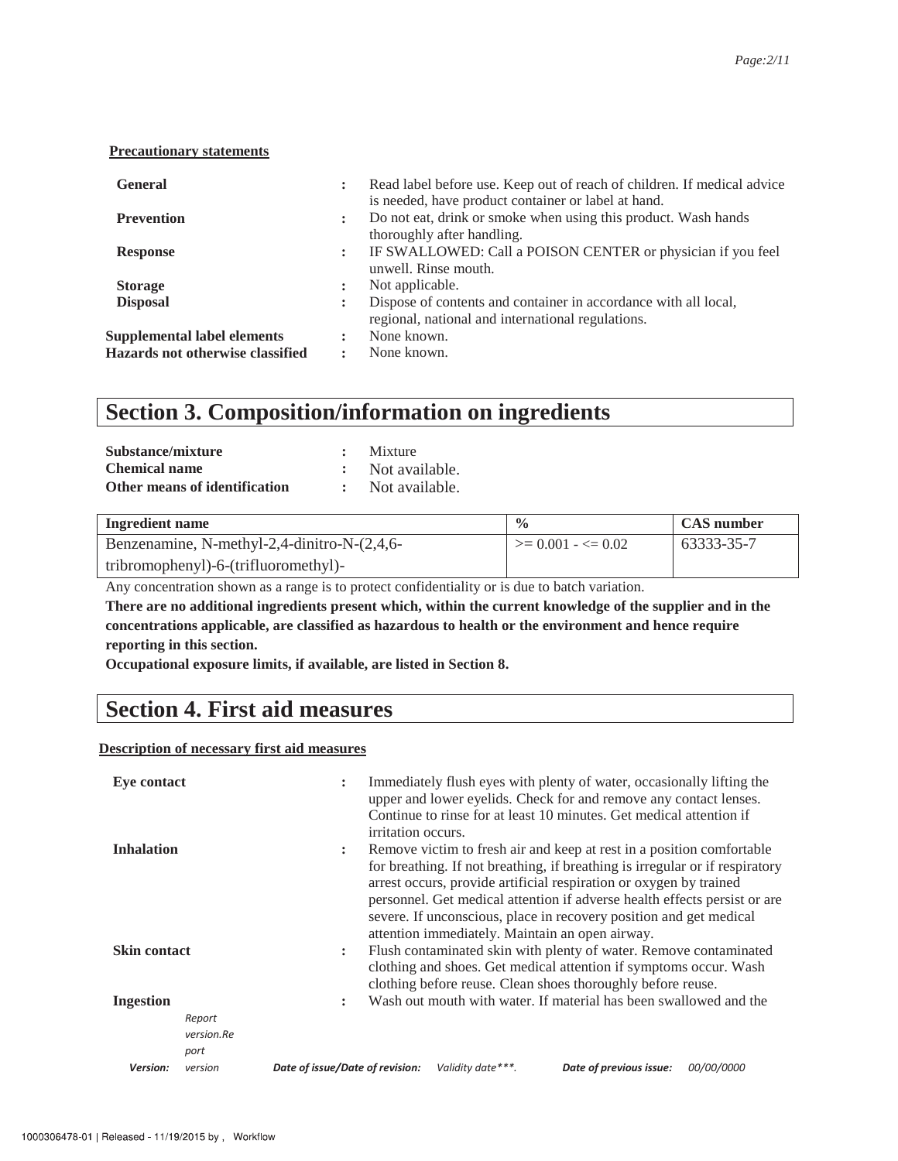#### **Precautionary statements**

| <b>General</b>                                                         | $\ddot{\phantom{a}}$ | Read label before use. Keep out of reach of children. If medical advice<br>is needed, have product container or label at hand. |
|------------------------------------------------------------------------|----------------------|--------------------------------------------------------------------------------------------------------------------------------|
| <b>Prevention</b>                                                      |                      | Do not eat, drink or smoke when using this product. Wash hands<br>thoroughly after handling.                                   |
| <b>Response</b>                                                        | $\ddot{\phantom{a}}$ | IF SWALLOWED: Call a POISON CENTER or physician if you feel<br>unwell. Rinse mouth.                                            |
| <b>Storage</b>                                                         | :                    | Not applicable.                                                                                                                |
| <b>Disposal</b>                                                        | ٠                    | Dispose of contents and container in accordance with all local,<br>regional, national and international regulations.           |
| <b>Supplemental label elements</b><br>Hazards not otherwise classified | ٠                    | None known.<br>None known.                                                                                                     |

### **Section 3. Composition/information on ingredients**

| Substance/mixture             | : Mixture        |
|-------------------------------|------------------|
| <b>Chemical name</b>          | : Not available. |
| Other means of identification | : Not available. |

| Ingredient name                             | $\frac{0}{0}$              | <b>CAS</b> number |
|---------------------------------------------|----------------------------|-------------------|
| Benzenamine, N-methyl-2,4-dinitro-N-(2,4,6- | $\geq$ 0.001 - $\leq$ 0.02 | 63333-35-7        |
| tribromophenyl)-6-(trifluoromethyl)-        |                            |                   |

Any concentration shown as a range is to protect confidentiality or is due to batch variation.

**There are no additional ingredients present which, within the current knowledge of the supplier and in the concentrations applicable, are classified as hazardous to health or the environment and hence require reporting in this section.** 

**Occupational exposure limits, if available, are listed in Section 8.**

### **Section 4. First aid measures**

**Description of necessary first aid measures** 

| <b>Eye contact</b>  |                              | $\ddot{\phantom{a}}$<br>irritation occurs.           | Immediately flush eyes with plenty of water, occasionally lifting the<br>upper and lower eyelids. Check for and remove any contact lenses.<br>Continue to rinse for at least 10 minutes. Get medical attention if                                                                                                                                                                                                                 |  |  |  |  |  |
|---------------------|------------------------------|------------------------------------------------------|-----------------------------------------------------------------------------------------------------------------------------------------------------------------------------------------------------------------------------------------------------------------------------------------------------------------------------------------------------------------------------------------------------------------------------------|--|--|--|--|--|
| <b>Inhalation</b>   |                              |                                                      | Remove victim to fresh air and keep at rest in a position comfortable<br>for breathing. If not breathing, if breathing is irregular or if respiratory<br>arrest occurs, provide artificial respiration or oxygen by trained<br>personnel. Get medical attention if adverse health effects persist or are<br>severe. If unconscious, place in recovery position and get medical<br>attention immediately. Maintain an open airway. |  |  |  |  |  |
| <b>Skin contact</b> |                              | $\ddot{\cdot}$                                       | Flush contaminated skin with plenty of water. Remove contaminated<br>clothing and shoes. Get medical attention if symptoms occur. Wash<br>clothing before reuse. Clean shoes thoroughly before reuse.                                                                                                                                                                                                                             |  |  |  |  |  |
| <b>Ingestion</b>    | Report<br>version.Re<br>port | $\ddot{\cdot}$                                       | Wash out mouth with water. If material has been swallowed and the                                                                                                                                                                                                                                                                                                                                                                 |  |  |  |  |  |
| Version:            | version                      | Date of issue/Date of revision:<br>Validity date***. | Date of previous issue:<br><i>00/00/0000</i>                                                                                                                                                                                                                                                                                                                                                                                      |  |  |  |  |  |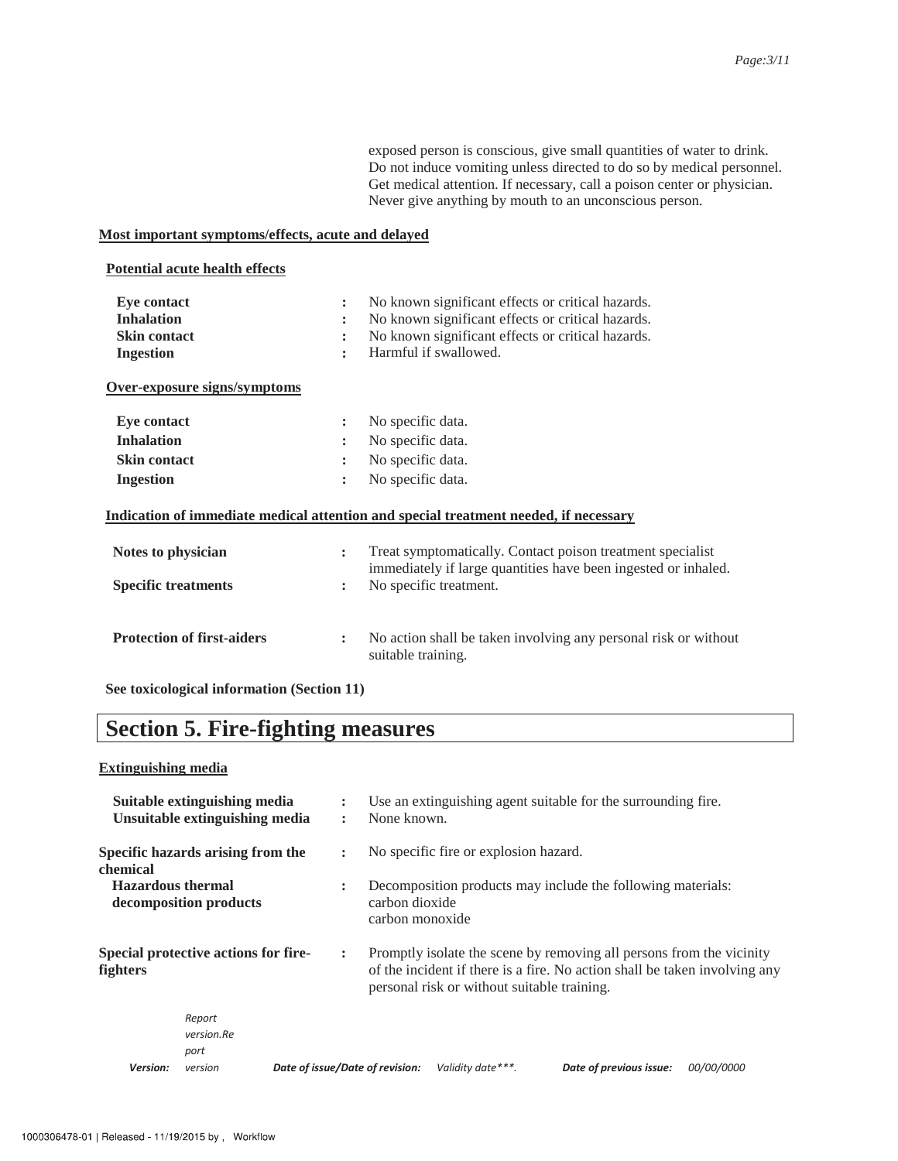exposed person is conscious, give small quantities of water to drink. Do not induce vomiting unless directed to do so by medical personnel. Get medical attention. If necessary, call a poison center or physician. Never give anything by mouth to an unconscious person.

#### **Most important symptoms/effects, acute and delayed**

#### **Potential acute health effects**

| Eye contact                                | No known significant effects or critical hazards.<br>$\ddot{\phantom{a}}$                                                                      |
|--------------------------------------------|------------------------------------------------------------------------------------------------------------------------------------------------|
| <b>Inhalation</b>                          | No known significant effects or critical hazards.<br>$\ddot{\cdot}$                                                                            |
| <b>Skin contact</b>                        | No known significant effects or critical hazards.<br>$\ddot{\cdot}$                                                                            |
| <b>Ingestion</b>                           | Harmful if swallowed.<br>$\ddot{\cdot}$                                                                                                        |
| Over-exposure signs/symptoms               |                                                                                                                                                |
| <b>Eye contact</b>                         | No specific data.<br>$\ddot{\cdot}$                                                                                                            |
| <b>Inhalation</b>                          | No specific data.<br>$\ddot{\cdot}$                                                                                                            |
| <b>Skin contact</b>                        | No specific data.<br>$\ddot{\phantom{a}}$                                                                                                      |
| <b>Ingestion</b>                           | No specific data.<br>$\ddot{\cdot}$                                                                                                            |
|                                            | Indication of immediate medical attention and special treatment needed, if necessary                                                           |
| Notes to physician                         | Treat symptomatically. Contact poison treatment specialist<br>$\ddot{\cdot}$<br>immediately if large quantities have been ingested or inhaled. |
| <b>Specific treatments</b>                 | No specific treatment.<br>:                                                                                                                    |
| <b>Protection of first-aiders</b>          | No action shall be taken involving any personal risk or without<br>:<br>suitable training.                                                     |
| See toxicological information (Section 11) |                                                                                                                                                |

# **Section 5. Fire-fighting measures**

#### **Extinguishing media**

|                          | Suitable extinguishing media<br>Unsuitable extinguishing media | $\ddot{\cdot}$<br>$\ddot{\phantom{a}}$ | Use an extinguishing agent suitable for the surrounding fire.<br>None known.                                                                                                                      |                                       |                                                             |                   |  |
|--------------------------|----------------------------------------------------------------|----------------------------------------|---------------------------------------------------------------------------------------------------------------------------------------------------------------------------------------------------|---------------------------------------|-------------------------------------------------------------|-------------------|--|
| chemical                 | Specific hazards arising from the                              | $\ddot{\cdot}$                         |                                                                                                                                                                                                   | No specific fire or explosion hazard. |                                                             |                   |  |
| <b>Hazardous thermal</b> | decomposition products                                         | $\ddot{\cdot}$                         | carbon dioxide<br>carbon monoxide                                                                                                                                                                 |                                       | Decomposition products may include the following materials: |                   |  |
| fighters                 | Special protective actions for fire-                           | $\ddot{\phantom{a}}$                   | Promptly isolate the scene by removing all persons from the vicinity<br>of the incident if there is a fire. No action shall be taken involving any<br>personal risk or without suitable training. |                                       |                                                             |                   |  |
|                          | Report<br>version.Re<br>port                                   |                                        |                                                                                                                                                                                                   |                                       |                                                             |                   |  |
| Version:                 | version                                                        | Date of issue/Date of revision:        |                                                                                                                                                                                                   | Validity date***.                     | Date of previous issue:                                     | <i>00/00/0000</i> |  |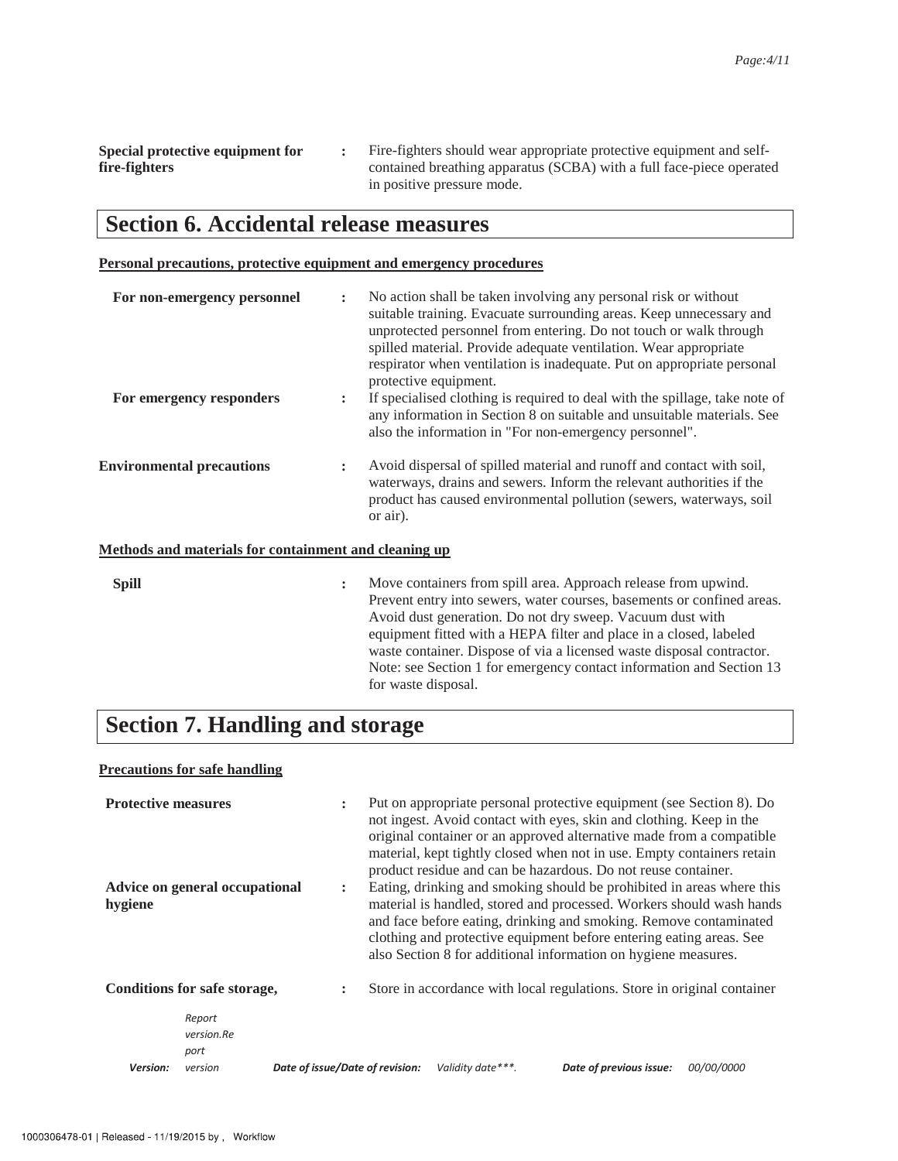**Special protective equipment for fire-fighters :** Fire-fighters should wear appropriate protective equipment and selfcontained breathing apparatus (SCBA) with a full face-piece operated in positive pressure mode.

### **Section 6. Accidental release measures**

#### **Personal precautions, protective equipment and emergency procedures**

| For non-emergency personnel                                  | $\ddot{\cdot}$ | No action shall be taken involving any personal risk or without<br>suitable training. Evacuate surrounding areas. Keep unnecessary and<br>unprotected personnel from entering. Do not touch or walk through<br>spilled material. Provide adequate ventilation. Wear appropriate<br>respirator when ventilation is inadequate. Put on appropriate personal<br>protective equipment.                                                                  |
|--------------------------------------------------------------|----------------|-----------------------------------------------------------------------------------------------------------------------------------------------------------------------------------------------------------------------------------------------------------------------------------------------------------------------------------------------------------------------------------------------------------------------------------------------------|
| For emergency responders                                     | :              | If specialised clothing is required to deal with the spillage, take note of<br>any information in Section 8 on suitable and unsuitable materials. See<br>also the information in "For non-emergency personnel".                                                                                                                                                                                                                                     |
| <b>Environmental precautions</b>                             | $\ddot{\cdot}$ | Avoid dispersal of spilled material and runoff and contact with soil,<br>waterways, drains and sewers. Inform the relevant authorities if the<br>product has caused environmental pollution (sewers, waterways, soil<br>or air).                                                                                                                                                                                                                    |
| <b>Methods and materials for containment and cleaning up</b> |                |                                                                                                                                                                                                                                                                                                                                                                                                                                                     |
| <b>Spill</b>                                                 | :              | Move containers from spill area. Approach release from upwind.<br>Prevent entry into sewers, water courses, basements or confined areas.<br>Avoid dust generation. Do not dry sweep. Vacuum dust with<br>equipment fitted with a HEPA filter and place in a closed, labeled<br>waste container. Dispose of via a licensed waste disposal contractor.<br>Note: see Section 1 for emergency contact information and Section 13<br>for waste disposal. |

# **Section 7. Handling and storage**

#### **Precautions for safe handling**

| <b>Protective measures</b><br>hygiene | Advice on general occupational          | $\ddot{\phantom{a}}$<br>$\ddot{\phantom{a}}$ | Put on appropriate personal protective equipment (see Section 8). Do<br>not ingest. Avoid contact with eyes, skin and clothing. Keep in the<br>original container or an approved alternative made from a compatible<br>material, kept tightly closed when not in use. Empty containers retain<br>product residue and can be hazardous. Do not reuse container.<br>Eating, drinking and smoking should be prohibited in areas where this<br>material is handled, stored and processed. Workers should wash hands<br>and face before eating, drinking and smoking. Remove contaminated<br>clothing and protective equipment before entering eating areas. See<br>also Section 8 for additional information on hygiene measures. |                    |                                                                         |                   |
|---------------------------------------|-----------------------------------------|----------------------------------------------|-------------------------------------------------------------------------------------------------------------------------------------------------------------------------------------------------------------------------------------------------------------------------------------------------------------------------------------------------------------------------------------------------------------------------------------------------------------------------------------------------------------------------------------------------------------------------------------------------------------------------------------------------------------------------------------------------------------------------------|--------------------|-------------------------------------------------------------------------|-------------------|
|                                       | Conditions for safe storage,            | $\ddot{\phantom{a}}$                         |                                                                                                                                                                                                                                                                                                                                                                                                                                                                                                                                                                                                                                                                                                                               |                    | Store in accordance with local regulations. Store in original container |                   |
| Version:                              | Report<br>version.Re<br>port<br>version | Date of issue/Date of revision:              |                                                                                                                                                                                                                                                                                                                                                                                                                                                                                                                                                                                                                                                                                                                               | Validity date ***. | Date of previous issue:                                                 | <i>00/00/0000</i> |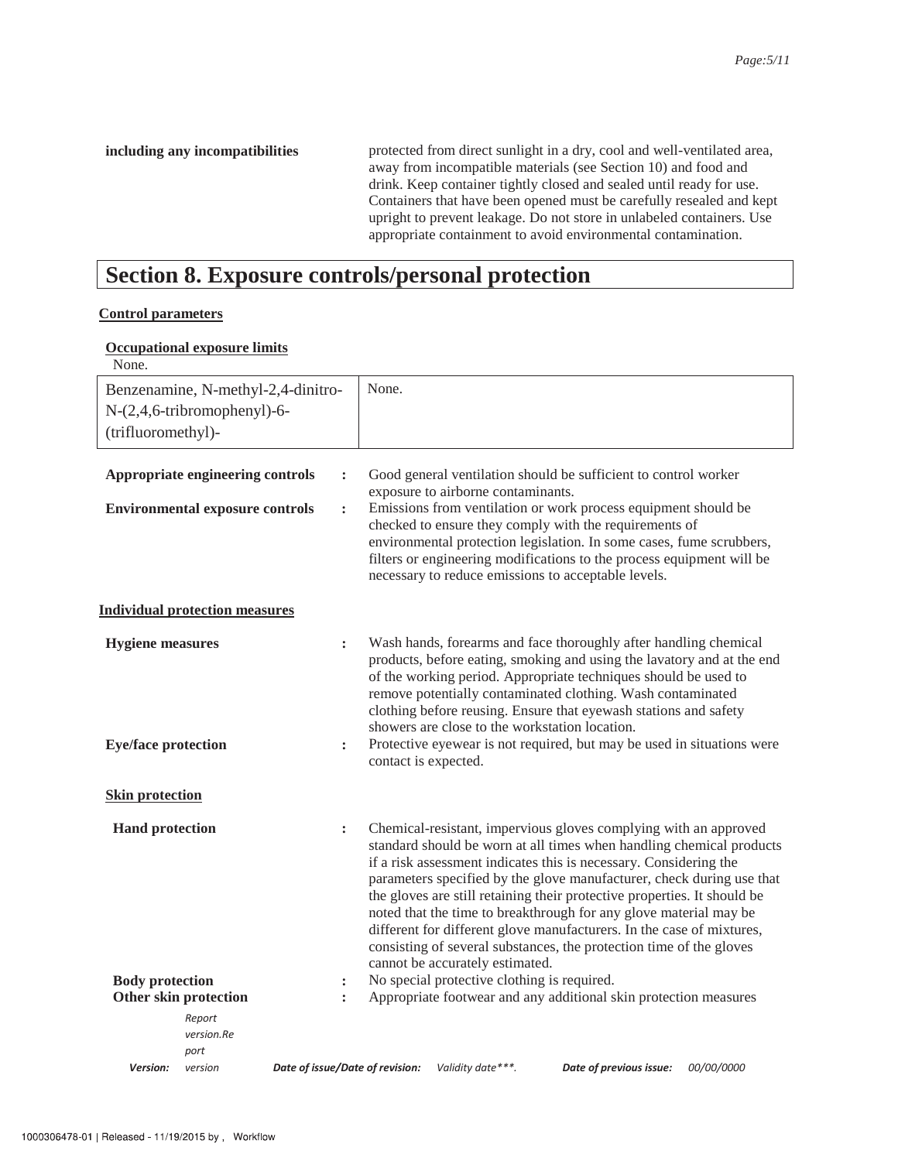including any incompatibilities protected from direct sunlight in a dry, cool and well-ventilated area, away from incompatible materials (see Section 10) and food and drink. Keep container tightly closed and sealed until ready for use. Containers that have been opened must be carefully resealed and kept upright to prevent leakage. Do not store in unlabeled containers. Use appropriate containment to avoid environmental contamination.

### **Section 8. Exposure controls/personal protection**

#### **Control parameters**

#### **Occupational exposure limits**

| None.                                           |                                                                            |                                  |                                 |                                    |                                                                                                                                                                                                                                                                                                                                                                                                                                                                                                                                                                                         |            |
|-------------------------------------------------|----------------------------------------------------------------------------|----------------------------------|---------------------------------|------------------------------------|-----------------------------------------------------------------------------------------------------------------------------------------------------------------------------------------------------------------------------------------------------------------------------------------------------------------------------------------------------------------------------------------------------------------------------------------------------------------------------------------------------------------------------------------------------------------------------------------|------------|
|                                                 | Benzenamine, N-methyl-2,4-dinitro-                                         |                                  | None.                           |                                    |                                                                                                                                                                                                                                                                                                                                                                                                                                                                                                                                                                                         |            |
|                                                 | $N-(2,4,6-tribromophenyl)-6$ -                                             |                                  |                                 |                                    |                                                                                                                                                                                                                                                                                                                                                                                                                                                                                                                                                                                         |            |
| (trifluoromethyl)-                              |                                                                            |                                  |                                 |                                    |                                                                                                                                                                                                                                                                                                                                                                                                                                                                                                                                                                                         |            |
|                                                 | Appropriate engineering controls<br><b>Environmental exposure controls</b> | $\ddot{\cdot}$<br>$\ddot{\cdot}$ |                                 | exposure to airborne contaminants. | Good general ventilation should be sufficient to control worker<br>Emissions from ventilation or work process equipment should be<br>checked to ensure they comply with the requirements of<br>environmental protection legislation. In some cases, fume scrubbers,<br>filters or engineering modifications to the process equipment will be<br>necessary to reduce emissions to acceptable levels.                                                                                                                                                                                     |            |
|                                                 | <b>Individual protection measures</b>                                      |                                  |                                 |                                    |                                                                                                                                                                                                                                                                                                                                                                                                                                                                                                                                                                                         |            |
| <b>Hygiene</b> measures                         |                                                                            | $\ddot{\phantom{a}}$             |                                 |                                    | Wash hands, forearms and face thoroughly after handling chemical<br>products, before eating, smoking and using the lavatory and at the end<br>of the working period. Appropriate techniques should be used to<br>remove potentially contaminated clothing. Wash contaminated<br>clothing before reusing. Ensure that eyewash stations and safety<br>showers are close to the workstation location.                                                                                                                                                                                      |            |
| <b>Eye/face protection</b>                      |                                                                            | :                                | contact is expected.            |                                    | Protective eyewear is not required, but may be used in situations were                                                                                                                                                                                                                                                                                                                                                                                                                                                                                                                  |            |
| <b>Skin protection</b>                          |                                                                            |                                  |                                 |                                    |                                                                                                                                                                                                                                                                                                                                                                                                                                                                                                                                                                                         |            |
| <b>Hand protection</b>                          |                                                                            | $\ddot{\cdot}$                   |                                 | cannot be accurately estimated.    | Chemical-resistant, impervious gloves complying with an approved<br>standard should be worn at all times when handling chemical products<br>if a risk assessment indicates this is necessary. Considering the<br>parameters specified by the glove manufacturer, check during use that<br>the gloves are still retaining their protective properties. It should be<br>noted that the time to breakthrough for any glove material may be<br>different for different glove manufacturers. In the case of mixtures,<br>consisting of several substances, the protection time of the gloves |            |
| <b>Body protection</b><br>Other skin protection |                                                                            | :<br>$\ddot{\cdot}$              |                                 |                                    | No special protective clothing is required.<br>Appropriate footwear and any additional skin protection measures                                                                                                                                                                                                                                                                                                                                                                                                                                                                         |            |
|                                                 | Report<br>version.Re<br>port                                               |                                  |                                 |                                    |                                                                                                                                                                                                                                                                                                                                                                                                                                                                                                                                                                                         |            |
| Version:                                        | version                                                                    |                                  | Date of issue/Date of revision: | Validity date***.                  | Date of previous issue:                                                                                                                                                                                                                                                                                                                                                                                                                                                                                                                                                                 | 00/00/0000 |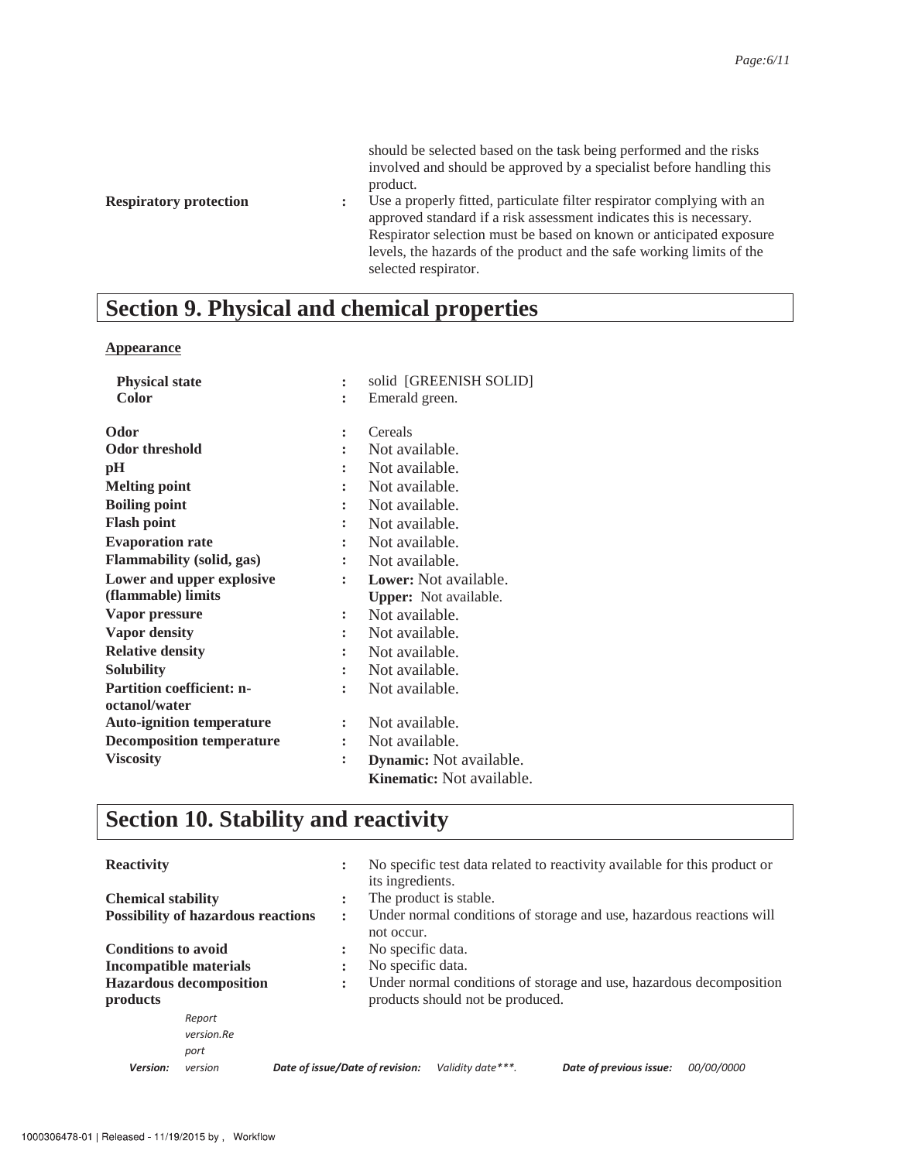should be selected based on the task being performed and the risks involved and should be approved by a specialist before handling this product.

**Respiratory protection :** Use a properly fitted, particulate filter respirator complying with an approved standard if a risk assessment indicates this is necessary. Respirator selection must be based on known or anticipated exposure levels, the hazards of the product and the safe working limits of the selected respirator.

# **Section 9. Physical and chemical properties**

#### **Appearance**

| <b>Physical state</b>                             |                      | solid [GREENISH SOLID]         |
|---------------------------------------------------|----------------------|--------------------------------|
| <b>Color</b>                                      |                      | Emerald green.                 |
| Odor                                              | $\ddot{\phantom{a}}$ | Cereals                        |
| <b>Odor threshold</b>                             |                      | Not available.                 |
| pН                                                |                      | Not available.                 |
| <b>Melting point</b>                              | $\ddot{\phantom{a}}$ | Not available.                 |
| <b>Boiling point</b>                              | $\ddot{\cdot}$       | Not available.                 |
| <b>Flash point</b>                                | ÷                    | Not available.                 |
| <b>Evaporation rate</b>                           |                      | Not available.                 |
| <b>Flammability (solid, gas)</b>                  | $\ddot{\phantom{a}}$ | Not available.                 |
| Lower and upper explosive                         |                      | Lower: Not available.          |
| (flammable) limits                                |                      | <b>Upper:</b> Not available.   |
| Vapor pressure                                    | $\ddot{\cdot}$       | Not available.                 |
| <b>Vapor density</b>                              | $\ddot{\phantom{a}}$ | Not available.                 |
| <b>Relative density</b>                           |                      | Not available.                 |
| <b>Solubility</b>                                 | $\ddot{\cdot}$       | Not available.                 |
| <b>Partition coefficient: n-</b><br>octanol/water | ÷                    | Not available.                 |
| <b>Auto-ignition temperature</b>                  | $\ddot{\phantom{a}}$ | Not available.                 |
| <b>Decomposition temperature</b>                  |                      | Not available.                 |
| <b>Viscosity</b>                                  | $\ddot{\phantom{a}}$ | <b>Dynamic:</b> Not available. |
|                                                   |                      | Kinematic: Not available.      |

# **Section 10. Stability and reactivity**

| <b>Reactivity</b>                                           |            | $\ddot{\cdot}$                                                       |                                                                     |                                  | No specific test data related to reactivity available for this product or |                   |  |
|-------------------------------------------------------------|------------|----------------------------------------------------------------------|---------------------------------------------------------------------|----------------------------------|---------------------------------------------------------------------------|-------------------|--|
|                                                             |            |                                                                      | its ingredients.                                                    |                                  |                                                                           |                   |  |
| <b>Chemical stability</b>                                   |            | ٠<br>$\bullet$                                                       |                                                                     | The product is stable.           |                                                                           |                   |  |
| <b>Possibility of hazardous reactions</b><br>$\ddot{\cdot}$ |            | Under normal conditions of storage and use, hazardous reactions will |                                                                     |                                  |                                                                           |                   |  |
|                                                             |            |                                                                      | not occur.                                                          |                                  |                                                                           |                   |  |
| <b>Conditions to avoid</b><br>٠<br>×.                       |            | No specific data.                                                    |                                                                     |                                  |                                                                           |                   |  |
| Incompatible materials<br>$\blacksquare$                    |            |                                                                      | No specific data.                                                   |                                  |                                                                           |                   |  |
| <b>Hazardous decomposition</b><br>:                         |            |                                                                      | Under normal conditions of storage and use, hazardous decomposition |                                  |                                                                           |                   |  |
| products                                                    |            |                                                                      |                                                                     | products should not be produced. |                                                                           |                   |  |
|                                                             | Report     |                                                                      |                                                                     |                                  |                                                                           |                   |  |
|                                                             | version.Re |                                                                      |                                                                     |                                  |                                                                           |                   |  |
|                                                             | port       |                                                                      |                                                                     |                                  |                                                                           |                   |  |
| Version:                                                    | version    | Date of issue/Date of revision:                                      |                                                                     | Validity date***.                | Date of previous issue:                                                   | <i>00/00/0000</i> |  |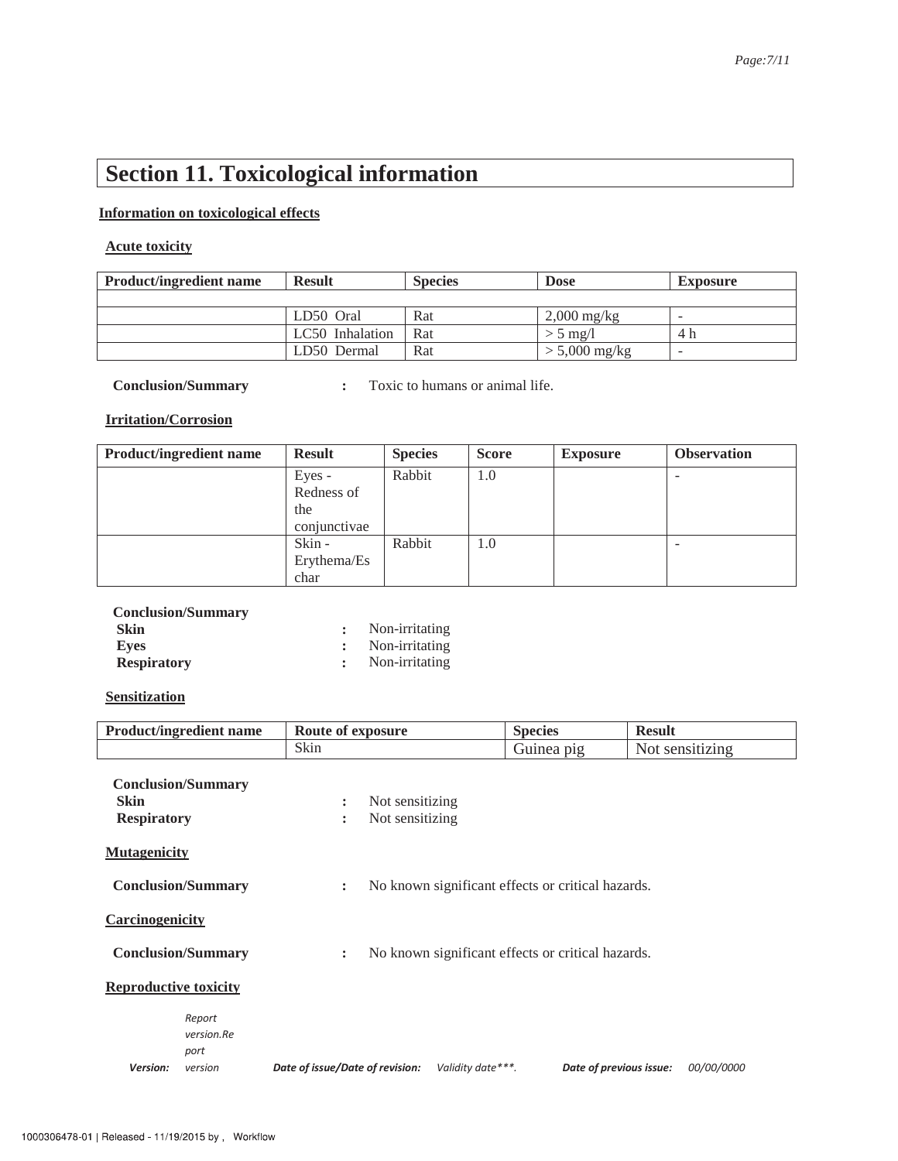# **Section 11. Toxicological information**

#### **Information on toxicological effects**

### **Acute toxicity**

| <b>Product/ingredient name</b> | <b>Result</b>   | <b>Species</b> | <b>Dose</b>     | <b>Exposure</b> |
|--------------------------------|-----------------|----------------|-----------------|-----------------|
|                                |                 |                |                 |                 |
|                                | LD50 Oral       | Rat            | $2,000$ mg/kg   | $\sim$          |
|                                | LC50 Inhalation | Rat            | $>$ 5 mg/l      | 4 h             |
|                                | LD50 Dermal     | Rat            | $> 5,000$ mg/kg | -               |

**Conclusion/Summary :** Toxic to humans or animal life.

#### **Irritation/Corrosion**

| <b>Product/ingredient name</b> | <b>Result</b> | <b>Species</b> | <b>Score</b> | <b>Exposure</b> | <b>Observation</b> |
|--------------------------------|---------------|----------------|--------------|-----------------|--------------------|
|                                | Eyes -        | Rabbit         | 1.0          |                 |                    |
|                                | Redness of    |                |              |                 |                    |
|                                | the           |                |              |                 |                    |
|                                | conjunctivae  |                |              |                 |                    |
|                                | Skin -        | Rabbit         | 1.0          |                 |                    |
|                                | Erythema/Es   |                |              |                 |                    |
|                                | char          |                |              |                 |                    |

| <b>Conclusion/Summary</b> |                  |
|---------------------------|------------------|
| <b>Skin</b>               | Non-irritating   |
| Eves                      | : Non-irritating |
| <b>Respiratory</b>        | : Non-irritating |

#### **Sensitization**

| <b>Product/ingredient name</b>                                                                   | Route of exposure                                               | <b>Species</b>          | <b>Result</b>   |  |
|--------------------------------------------------------------------------------------------------|-----------------------------------------------------------------|-------------------------|-----------------|--|
|                                                                                                  | Skin                                                            | Guinea pig              | Not sensitizing |  |
| <b>Conclusion/Summary</b><br><b>Skin</b><br><b>Respiratory</b>                                   | Not sensitizing<br>$\ddot{\phantom{a}}$<br>Not sensitizing<br>÷ |                         |                 |  |
| <b>Mutagenicity</b>                                                                              |                                                                 |                         |                 |  |
| No known significant effects or critical hazards.<br><b>Conclusion/Summary</b><br>$\ddot{\cdot}$ |                                                                 |                         |                 |  |
| Carcinogenicity                                                                                  |                                                                 |                         |                 |  |
| No known significant effects or critical hazards.<br><b>Conclusion/Summary</b><br>$\ddot{\cdot}$ |                                                                 |                         |                 |  |
| <b>Reproductive toxicity</b>                                                                     |                                                                 |                         |                 |  |
| Report<br>version.Re<br>port<br>Version:<br>version                                              | Date of issue/Date of revision:<br>Validity date***.            | Date of previous issue: | 00/00/0000      |  |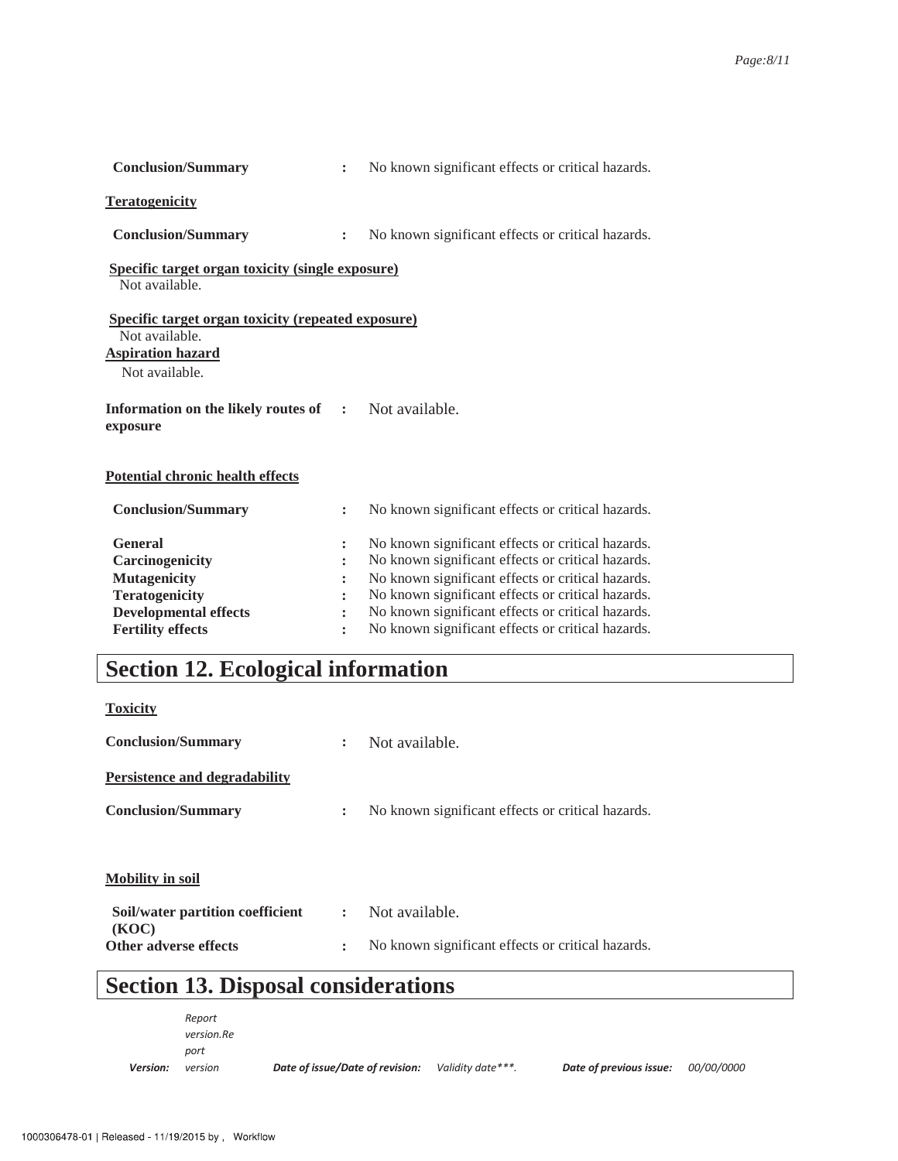| <b>Conclusion/Summary</b>                                                                                                                     | $\ddot{\cdot}$                                           | No known significant effects or critical hazards.                                                                                                                                                                                                                                                                          |
|-----------------------------------------------------------------------------------------------------------------------------------------------|----------------------------------------------------------|----------------------------------------------------------------------------------------------------------------------------------------------------------------------------------------------------------------------------------------------------------------------------------------------------------------------------|
| <b>Teratogenicity</b>                                                                                                                         |                                                          |                                                                                                                                                                                                                                                                                                                            |
| <b>Conclusion/Summary</b>                                                                                                                     | $\ddot{\cdot}$                                           | No known significant effects or critical hazards.                                                                                                                                                                                                                                                                          |
| <b>Specific target organ toxicity (single exposure)</b><br>Not available.                                                                     |                                                          |                                                                                                                                                                                                                                                                                                                            |
| <b>Specific target organ toxicity (repeated exposure)</b><br>Not available.<br><b>Aspiration hazard</b><br>Not available.                     |                                                          |                                                                                                                                                                                                                                                                                                                            |
| Information on the likely routes of<br>exposure                                                                                               | $\sim$ 1.                                                | Not available.                                                                                                                                                                                                                                                                                                             |
| Potential chronic health effects                                                                                                              |                                                          |                                                                                                                                                                                                                                                                                                                            |
| <b>Conclusion/Summary</b>                                                                                                                     | $\ddot{\cdot}$                                           | No known significant effects or critical hazards.                                                                                                                                                                                                                                                                          |
| <b>General</b><br>Carcinogenicity<br><b>Mutagenicity</b><br><b>Teratogenicity</b><br><b>Developmental effects</b><br><b>Fertility effects</b> | $\ddot{\cdot}$<br>$\ddot{\cdot}$<br>$\ddot{\phantom{a}}$ | No known significant effects or critical hazards.<br>No known significant effects or critical hazards.<br>No known significant effects or critical hazards.<br>No known significant effects or critical hazards.<br>No known significant effects or critical hazards.<br>No known significant effects or critical hazards. |
|                                                                                                                                               |                                                          |                                                                                                                                                                                                                                                                                                                            |

# **Section 12. Ecological information**

**Toxicity**

| Not available.                                    |
|---------------------------------------------------|
|                                                   |
| No known significant effects or critical hazards. |
|                                                   |
|                                                   |
| Not available.                                    |
| No known significant effects or critical hazards. |
|                                                   |

# **Section 13. Disposal considerations**

| Version: | version    | Date of issue/Date of revision: | Validity date***. | Date of previous issue: | <i>00/00/0000</i> |
|----------|------------|---------------------------------|-------------------|-------------------------|-------------------|
|          | port       |                                 |                   |                         |                   |
|          | version.Re |                                 |                   |                         |                   |
|          | Report     |                                 |                   |                         |                   |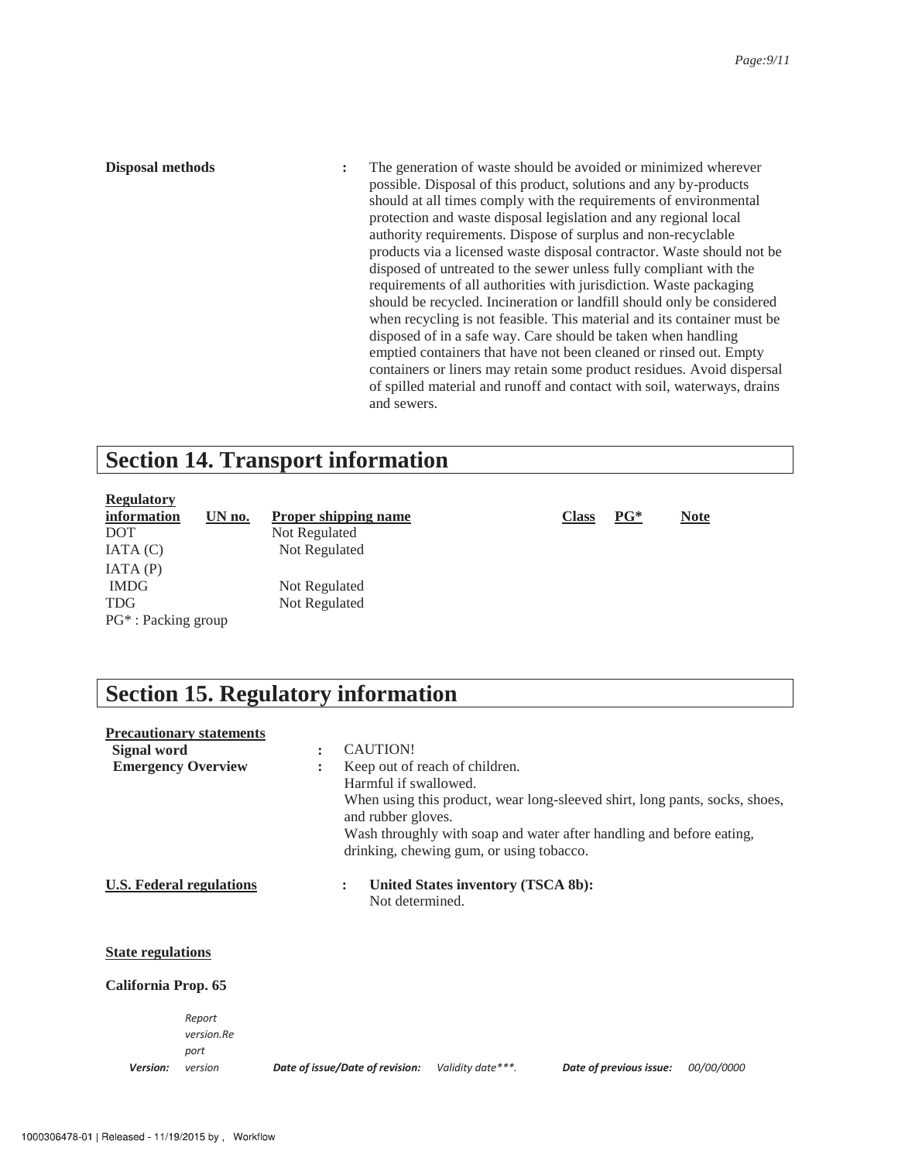**Disposal methods** : The generation of waste should be avoided or minimized wherever possible. Disposal of this product, solutions and any by-products should at all times comply with the requirements of environmental protection and waste disposal legislation and any regional local authority requirements. Dispose of surplus and non-recyclable products via a licensed waste disposal contractor. Waste should not be disposed of untreated to the sewer unless fully compliant with the requirements of all authorities with jurisdiction. Waste packaging should be recycled. Incineration or landfill should only be considered when recycling is not feasible. This material and its container must be disposed of in a safe way. Care should be taken when handling emptied containers that have not been cleaned or rinsed out. Empty containers or liners may retain some product residues. Avoid dispersal of spilled material and runoff and contact with soil, waterways, drains and sewers.

### **Section 14. Transport information**

| <b>Regulatory</b>               |        |                             |              |        |             |
|---------------------------------|--------|-----------------------------|--------------|--------|-------------|
| information                     | UN no. | <b>Proper shipping name</b> | <b>Class</b> | $PG^*$ | <b>Note</b> |
| <b>DOT</b>                      |        | Not Regulated               |              |        |             |
| IATA(C)                         |        | Not Regulated               |              |        |             |
| IATA(P)                         |        |                             |              |        |             |
| <b>IMDG</b>                     |        | Not Regulated               |              |        |             |
| <b>TDG</b>                      |        | Not Regulated               |              |        |             |
| PG <sup>*</sup> : Packing group |        |                             |              |        |             |
|                                 |        |                             |              |        |             |

### **Section 15. Regulatory information**

|                          | <b>Precautionary statements</b> |                |                                 |                                          |                                                                             |                   |
|--------------------------|---------------------------------|----------------|---------------------------------|------------------------------------------|-----------------------------------------------------------------------------|-------------------|
| Signal word              |                                 | $\ddot{\cdot}$ | CAUTION!                        |                                          |                                                                             |                   |
|                          | <b>Emergency Overview</b>       |                |                                 | Keep out of reach of children.           |                                                                             |                   |
|                          |                                 |                | Harmful if swallowed.           |                                          |                                                                             |                   |
|                          |                                 |                |                                 |                                          | When using this product, wear long-sleeved shirt, long pants, socks, shoes, |                   |
|                          |                                 |                | and rubber gloves.              |                                          |                                                                             |                   |
|                          |                                 |                |                                 |                                          | Wash throughly with soap and water after handling and before eating,        |                   |
|                          |                                 |                |                                 | drinking, chewing gum, or using tobacco. |                                                                             |                   |
|                          |                                 |                |                                 |                                          |                                                                             |                   |
|                          | U.S. Federal regulations        |                | $\ddot{\phantom{a}}$            | United States inventory (TSCA 8b):       |                                                                             |                   |
|                          |                                 |                | Not determined.                 |                                          |                                                                             |                   |
|                          |                                 |                |                                 |                                          |                                                                             |                   |
|                          |                                 |                |                                 |                                          |                                                                             |                   |
| <b>State regulations</b> |                                 |                |                                 |                                          |                                                                             |                   |
|                          |                                 |                |                                 |                                          |                                                                             |                   |
| California Prop. 65      |                                 |                |                                 |                                          |                                                                             |                   |
|                          |                                 |                |                                 |                                          |                                                                             |                   |
|                          | Report                          |                |                                 |                                          |                                                                             |                   |
|                          | version.Re                      |                |                                 |                                          |                                                                             |                   |
|                          | port                            |                |                                 |                                          |                                                                             |                   |
| Version:                 | version                         |                | Date of issue/Date of revision: | Validity date***.                        | Date of previous issue:                                                     | <i>00/00/0000</i> |
|                          |                                 |                |                                 |                                          |                                                                             |                   |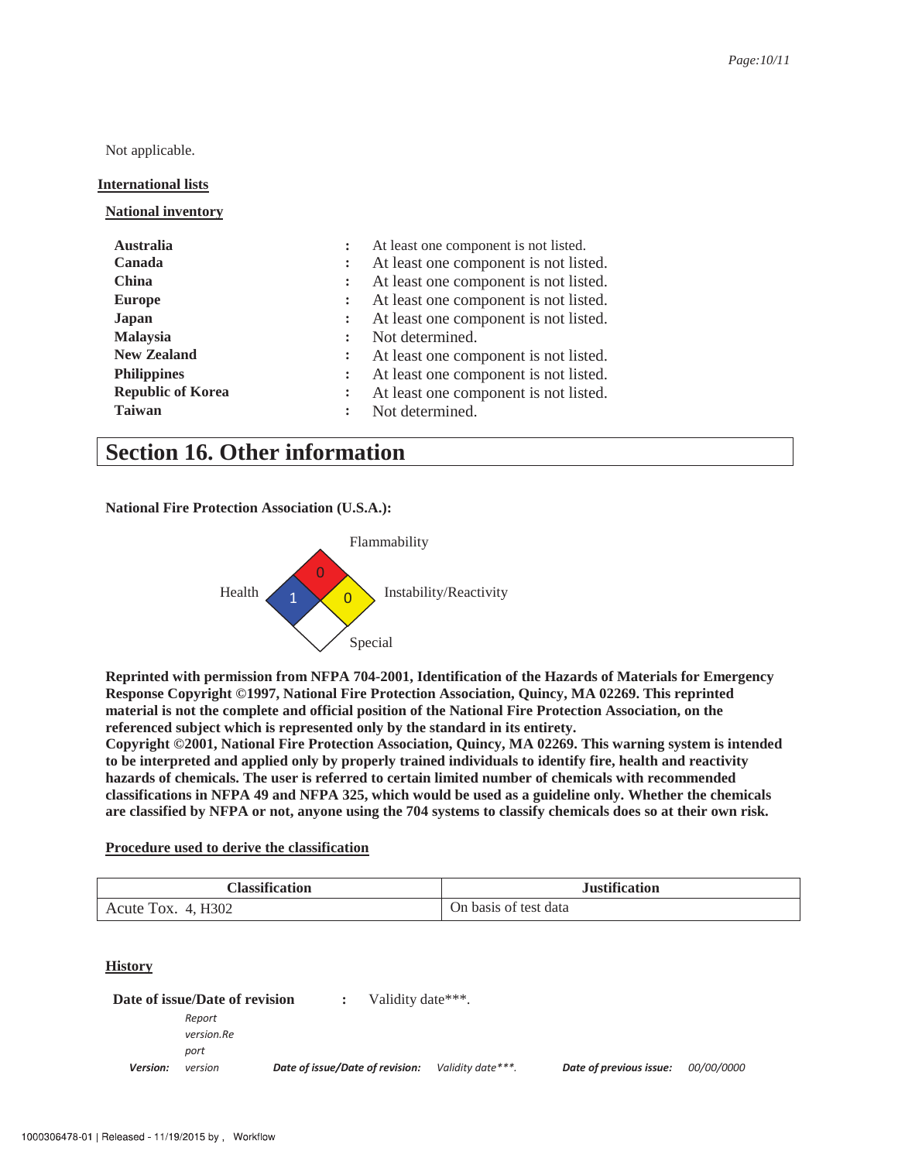Not applicable.

#### **International lists**

**National inventory** 

| <b>Australia</b><br>Canada<br><b>China</b><br><b>Europe</b><br>Japan<br><b>Malaysia</b><br><b>New Zealand</b><br><b>Philippines</b> | $\ddot{\phantom{a}}$<br>$\ddot{\cdot}$<br>$\ddot{\phantom{a}}$<br>$\ddot{\phantom{a}}$ | At least one component is not listed.<br>At least one component is not listed.<br>At least one component is not listed.<br>At least one component is not listed.<br>At least one component is not listed.<br>Not determined.<br>At least one component is not listed.<br>At least one component is not listed. |
|-------------------------------------------------------------------------------------------------------------------------------------|----------------------------------------------------------------------------------------|----------------------------------------------------------------------------------------------------------------------------------------------------------------------------------------------------------------------------------------------------------------------------------------------------------------|
| <b>Republic of Korea</b><br><b>Taiwan</b>                                                                                           |                                                                                        | At least one component is not listed.<br>Not determined.                                                                                                                                                                                                                                                       |

### **Section 16. Other information**

**National Fire Protection Association (U.S.A.):** 



**Reprinted with permission from NFPA 704-2001, Identification of the Hazards of Materials for Emergency Response Copyright ©1997, National Fire Protection Association, Quincy, MA 02269. This reprinted material is not the complete and official position of the National Fire Protection Association, on the referenced subject which is represented only by the standard in its entirety.** 

**Copyright ©2001, National Fire Protection Association, Quincy, MA 02269. This warning system is intended to be interpreted and applied only by properly trained individuals to identify fire, health and reactivity hazards of chemicals. The user is referred to certain limited number of chemicals with recommended classifications in NFPA 49 and NFPA 325, which would be used as a guideline only. Whether the chemicals are classified by NFPA or not, anyone using the 704 systems to classify chemicals does so at their own risk.** 

#### **Procedure used to derive the classification**

| Classification           | <b>Justification</b>  |
|--------------------------|-----------------------|
| 4. H302<br>TOX.<br>Acute | On basis of test data |

#### **History**

|          | Date of issue/Date of revision | $\mathbf{L}$                    | Validity date***. |                   |                         |                   |
|----------|--------------------------------|---------------------------------|-------------------|-------------------|-------------------------|-------------------|
|          | Report                         |                                 |                   |                   |                         |                   |
|          | version.Re                     |                                 |                   |                   |                         |                   |
|          | port                           |                                 |                   |                   |                         |                   |
| Version: | version                        | Date of issue/Date of revision: |                   | Validity date***. | Date of previous issue: | <i>00/00/0000</i> |